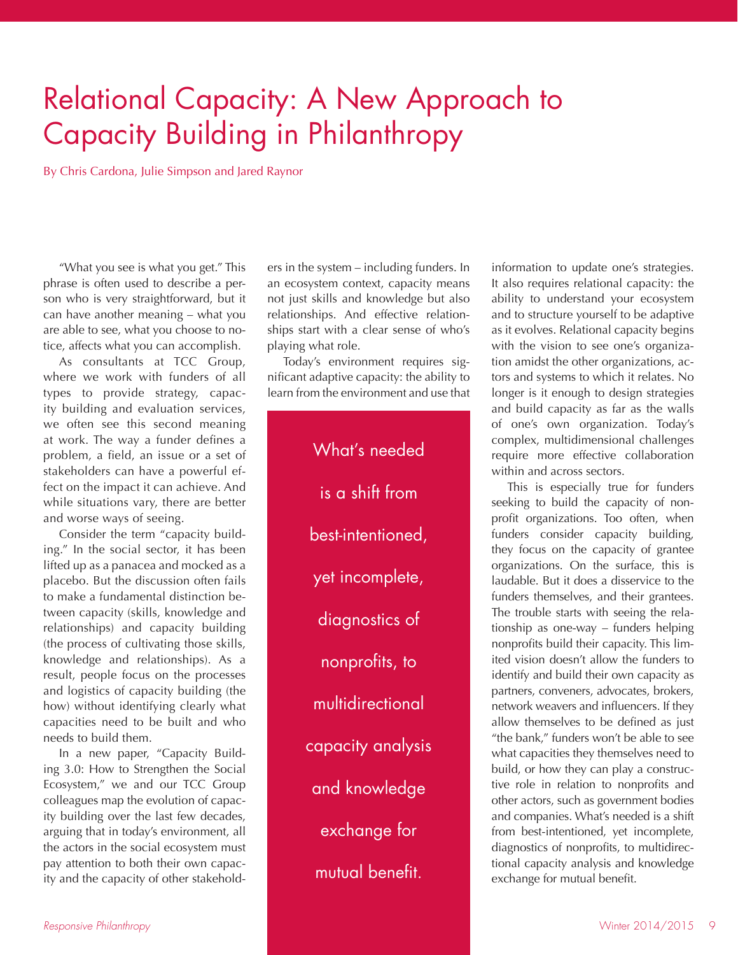## Relational Capacity: A New Approach to Capacity Building in Philanthropy

By Chris Cardona, Julie Simpson and Jared Raynor

"What you see is what you get." This phrase is often used to describe a person who is very straightforward, but it can have another meaning – what you are able to see, what you choose to notice, affects what you can accomplish.

As consultants at TCC Group, where we work with funders of all types to provide strategy, capacity building and evaluation services, we often see this second meaning at work. The way a funder defines a problem, a field, an issue or a set of stakeholders can have a powerful effect on the impact it can achieve. And while situations vary, there are better and worse ways of seeing.

Consider the term "capacity building." In the social sector, it has been lifted up as a panacea and mocked as a placebo. But the discussion often fails to make a fundamental distinction between capacity (skills, knowledge and relationships) and capacity building (the process of cultivating those skills, knowledge and relationships). As a result, people focus on the processes and logistics of capacity building (the how) without identifying clearly what capacities need to be built and who needs to build them.

In a new paper, "Capacity Building 3.0: How to Strengthen the Social Ecosystem," we and our TCC Group colleagues map the evolution of capacity building over the last few decades, arguing that in today's environment, all the actors in the social ecosystem must pay attention to both their own capacity and the capacity of other stakehold-

ers in the system – including funders. In an ecosystem context, capacity means not just skills and knowledge but also relationships. And effective relationships start with a clear sense of who's playing what role.

Today's environment requires significant adaptive capacity: the ability to learn from the environment and use that

> What's needed is a shift from best-intentioned, yet incomplete, diagnostics of nonprofits, to multidirectional capacity analysis and knowledge exchange for mutual benefit.

information to update one's strategies. It also requires relational capacity: the ability to understand your ecosystem and to structure yourself to be adaptive as it evolves. Relational capacity begins with the vision to see one's organization amidst the other organizations, actors and systems to which it relates. No longer is it enough to design strategies and build capacity as far as the walls of one's own organization. Today's complex, multidimensional challenges require more effective collaboration within and across sectors.

This is especially true for funders seeking to build the capacity of nonprofit organizations. Too often, when funders consider capacity building, they focus on the capacity of grantee organizations. On the surface, this is laudable. But it does a disservice to the funders themselves, and their grantees. The trouble starts with seeing the relationship as one-way – funders helping nonprofits build their capacity. This limited vision doesn't allow the funders to identify and build their own capacity as partners, conveners, advocates, brokers, network weavers and influencers. If they allow themselves to be defined as just "the bank," funders won't be able to see what capacities they themselves need to build, or how they can play a constructive role in relation to nonprofits and other actors, such as government bodies and companies. What's needed is a shift from best-intentioned, yet incomplete, diagnostics of nonprofits, to multidirectional capacity analysis and knowledge exchange for mutual benefit.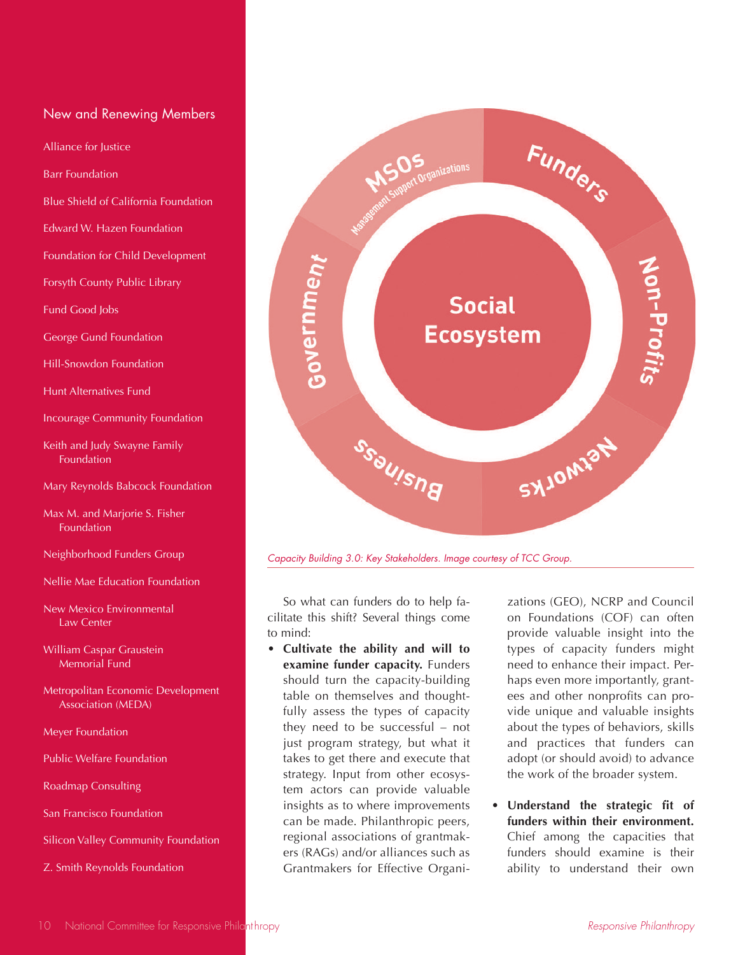## New and Renewing Members

Alliance for Justice

Barr Foundation

Blue Shield of California Foundation

Edward W. Hazen Foundation

Foundation for Child Development

Forsyth County Public Library

Fund Good Jobs

George Gund Foundation

Hill-Snowdon Foundation

Hunt Alternatives Fund

Incourage Community Foundation

Keith and Judy Swayne Family Foundation

Mary Reynolds Babcock Foundation

Max M. and Marjorie S. Fisher Foundation

Neighborhood Funders Group

Nellie Mae Education Foundation

New Mexico Environmental Law Center

William Caspar Graustein Memorial Fund

Metropolitan Economic Development Association (MEDA)

Meyer Foundation

Public Welfare Foundation

Roadmap Consulting

San Francisco Foundation

Silicon Valley Community Foundation

Z. Smith Reynolds Foundation



*Capacity Building 3.0: Key Stakeholders. Image courtesy of TCC Group.*

So what can funders do to help facilitate this shift? Several things come to mind:

• **Cultivate the ability and will to examine funder capacity.** Funders should turn the capacity-building table on themselves and thoughtfully assess the types of capacity they need to be successful – not just program strategy, but what it takes to get there and execute that strategy. Input from other ecosystem actors can provide valuable insights as to where improvements can be made. Philanthropic peers, regional associations of grantmakers (RAGs) and/or alliances such as Grantmakers for Effective Organi-

zations (GEO), NCRP and Council on Foundations (COF) can often provide valuable insight into the types of capacity funders might need to enhance their impact. Perhaps even more importantly, grantees and other nonprofits can provide unique and valuable insights about the types of behaviors, skills and practices that funders can adopt (or should avoid) to advance the work of the broader system.

• **Understand the strategic fit of funders within their environment.**  Chief among the capacities that funders should examine is their ability to understand their own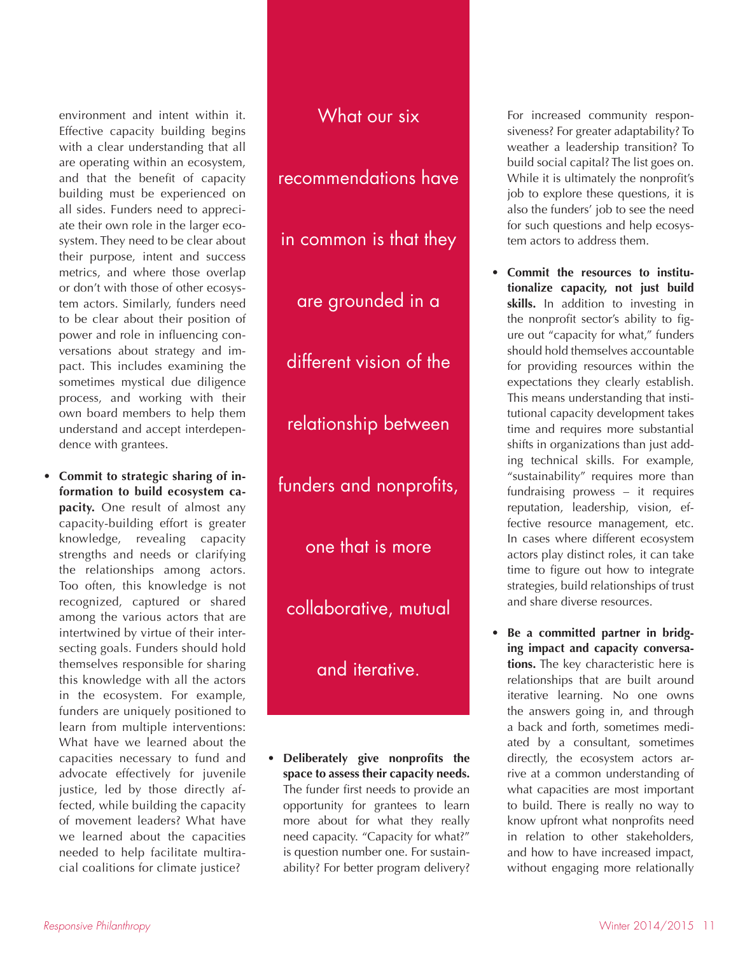environment and intent within it. Effective capacity building begins with a clear understanding that all are operating within an ecosystem, and that the benefit of capacity building must be experienced on all sides. Funders need to appreciate their own role in the larger ecosystem. They need to be clear about their purpose, intent and success metrics, and where those overlap or don't with those of other ecosystem actors. Similarly, funders need to be clear about their position of power and role in influencing conversations about strategy and impact. This includes examining the sometimes mystical due diligence process, and working with their own board members to help them understand and accept interdependence with grantees.

• **Commit to strategic sharing of information to build ecosystem capacity.** One result of almost any capacity-building effort is greater knowledge, revealing capacity strengths and needs or clarifying the relationships among actors. Too often, this knowledge is not recognized, captured or shared among the various actors that are intertwined by virtue of their intersecting goals. Funders should hold themselves responsible for sharing this knowledge with all the actors in the ecosystem. For example, funders are uniquely positioned to learn from multiple interventions: What have we learned about the capacities necessary to fund and advocate effectively for juvenile justice, led by those directly affected, while building the capacity of movement leaders? What have we learned about the capacities needed to help facilitate multiracial coalitions for climate justice?

What our six recommendations have in common is that they are grounded in a different vision of the relationship between funders and nonprofits, one that is more collaborative, mutual and iterative.

• **Deliberately give nonprofits the space to assess their capacity needs.**  The funder first needs to provide an opportunity for grantees to learn more about for what they really need capacity. "Capacity for what?" is question number one. For sustainability? For better program delivery?

For increased community responsiveness? For greater adaptability? To weather a leadership transition? To build social capital? The list goes on. While it is ultimately the nonprofit's job to explore these questions, it is also the funders' job to see the need for such questions and help ecosystem actors to address them.

- **Commit the resources to institutionalize capacity, not just build skills.** In addition to investing in the nonprofit sector's ability to figure out "capacity for what," funders should hold themselves accountable for providing resources within the expectations they clearly establish. This means understanding that institutional capacity development takes time and requires more substantial shifts in organizations than just adding technical skills. For example, "sustainability" requires more than fundraising prowess – it requires reputation, leadership, vision, effective resource management, etc. In cases where different ecosystem actors play distinct roles, it can take time to figure out how to integrate strategies, build relationships of trust and share diverse resources.
- **Be a committed partner in bridging impact and capacity conversations.** The key characteristic here is relationships that are built around iterative learning. No one owns the answers going in, and through a back and forth, sometimes mediated by a consultant, sometimes directly, the ecosystem actors arrive at a common understanding of what capacities are most important to build. There is really no way to know upfront what nonprofits need in relation to other stakeholders, and how to have increased impact, without engaging more relationally